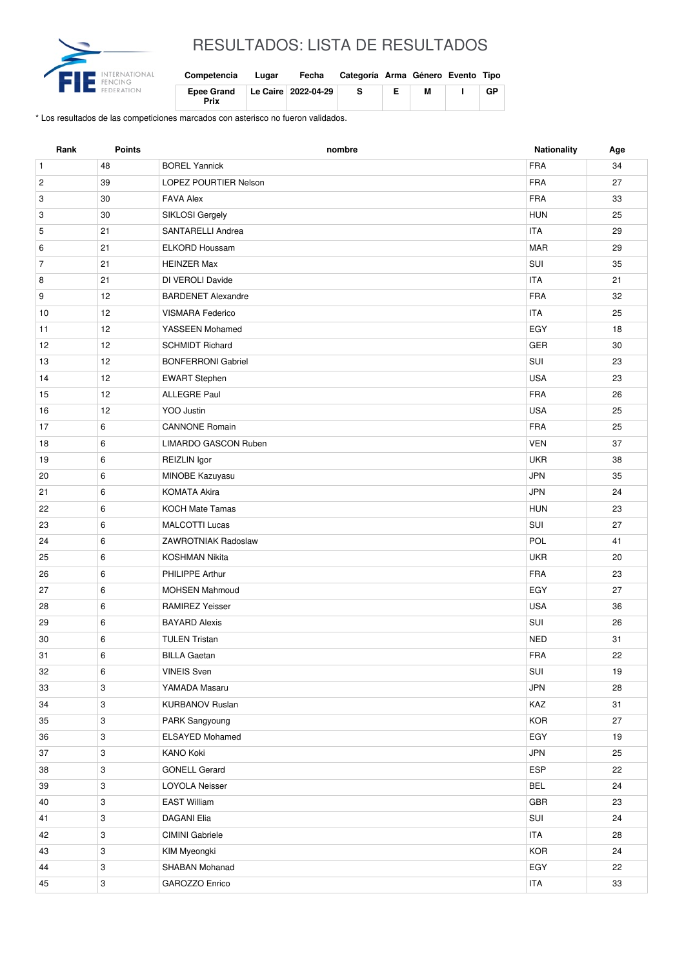

## RESULTADOS: LISTA DE RESULTADOS

| Competencia               | Lugar | Fecha               | Categoría Arma Género Evento Tipo |   |    |
|---------------------------|-------|---------------------|-----------------------------------|---|----|
| <b>Epee Grand</b><br>Prix |       | Le Caire 2022-04-29 | -S                                | М | GP |

\* Los resultados de las competiciones marcados con asterisco no fueron validados.

| Rank           | <b>Points</b> | nombre                      | <b>Nationality</b> | Age |
|----------------|---------------|-----------------------------|--------------------|-----|
| $\mathbf{1}$   | 48            | <b>BOREL Yannick</b>        | <b>FRA</b>         | 34  |
| $\overline{c}$ | 39            | LOPEZ POURTIER Nelson       | <b>FRA</b>         | 27  |
| 3              | 30            | <b>FAVA Alex</b>            | <b>FRA</b>         | 33  |
| 3              | 30            | SIKLOSI Gergely             | <b>HUN</b>         | 25  |
| 5              | 21            | SANTARELLI Andrea           | <b>ITA</b>         | 29  |
| 6              | 21            | <b>ELKORD Houssam</b>       | <b>MAR</b>         | 29  |
| $\overline{7}$ | 21            | <b>HEINZER Max</b>          | SUI                | 35  |
| 8              | 21            | DI VEROLI Davide            | <b>ITA</b>         | 21  |
| 9              | 12            | <b>BARDENET Alexandre</b>   | <b>FRA</b>         | 32  |
| 10             | 12            | <b>VISMARA Federico</b>     | <b>ITA</b>         | 25  |
| 11             | 12            | YASSEEN Mohamed             | EGY                | 18  |
| 12             | 12            | <b>SCHMIDT Richard</b>      | <b>GER</b>         | 30  |
| 13             | 12            | <b>BONFERRONI Gabriel</b>   | SUI                | 23  |
| 14             | 12            | <b>EWART Stephen</b>        | <b>USA</b>         | 23  |
| 15             | 12            | <b>ALLEGRE Paul</b>         | <b>FRA</b>         | 26  |
| 16             | 12            | YOO Justin                  | <b>USA</b>         | 25  |
| 17             | 6             | <b>CANNONE Romain</b>       | <b>FRA</b>         | 25  |
| 18             | 6             | <b>LIMARDO GASCON Ruben</b> | <b>VEN</b>         | 37  |
| 19             | 6             | REIZLIN Igor                | <b>UKR</b>         | 38  |
| 20             | 6             | MINOBE Kazuyasu             | <b>JPN</b>         | 35  |
| 21             | 6             | <b>KOMATA Akira</b>         | <b>JPN</b>         | 24  |
| 22             | 6             | <b>KOCH Mate Tamas</b>      | <b>HUN</b>         | 23  |
| 23             | 6             | <b>MALCOTTI Lucas</b>       | SUI                | 27  |
| 24             | 6             | <b>ZAWROTNIAK Radoslaw</b>  | POL                | 41  |
| 25             | 6             | <b>KOSHMAN Nikita</b>       | <b>UKR</b>         | 20  |
| 26             | 6             | PHILIPPE Arthur             | <b>FRA</b>         | 23  |
| 27             | 6             | <b>MOHSEN Mahmoud</b>       | EGY                | 27  |
| 28             | 6             | <b>RAMIREZ Yeisser</b>      | <b>USA</b>         | 36  |
| 29             | 6             | <b>BAYARD Alexis</b>        | SUI                | 26  |
| 30             | 6             | <b>TULEN Tristan</b>        | <b>NED</b>         | 31  |
| 31             | 6             | <b>BILLA Gaetan</b>         | <b>FRA</b>         | 22  |
| 32             | 6             | <b>VINEIS Sven</b>          | SUI                | 19  |
| 33             | 3             | YAMADA Masaru               | <b>JPN</b>         | 28  |
| 34             | 3             | <b>KURBANOV Ruslan</b>      | KAZ                | 31  |
| 35             | 3             | PARK Sangyoung              | <b>KOR</b>         | 27  |
| 36             | 3             | <b>ELSAYED Mohamed</b>      | EGY                | 19  |
| 37             | 3             | KANO Koki                   | <b>JPN</b>         | 25  |
| 38             | 3             | <b>GONELL Gerard</b>        | ESP                | 22  |
| 39             | 3             | <b>LOYOLA Neisser</b>       | <b>BEL</b>         | 24  |
| 40             | 3             | <b>EAST William</b>         | GBR                | 23  |
| 41             | 3             | <b>DAGANI Elia</b>          | SUI                | 24  |
| 42             | 3             | CIMINI Gabriele             | <b>ITA</b>         | 28  |
| 43             | 3             | KIM Myeongki                | KOR                | 24  |
| 44             | 3             | SHABAN Mohanad              | EGY                | 22  |
| 45             | 3             | GAROZZO Enrico              | <b>ITA</b>         | 33  |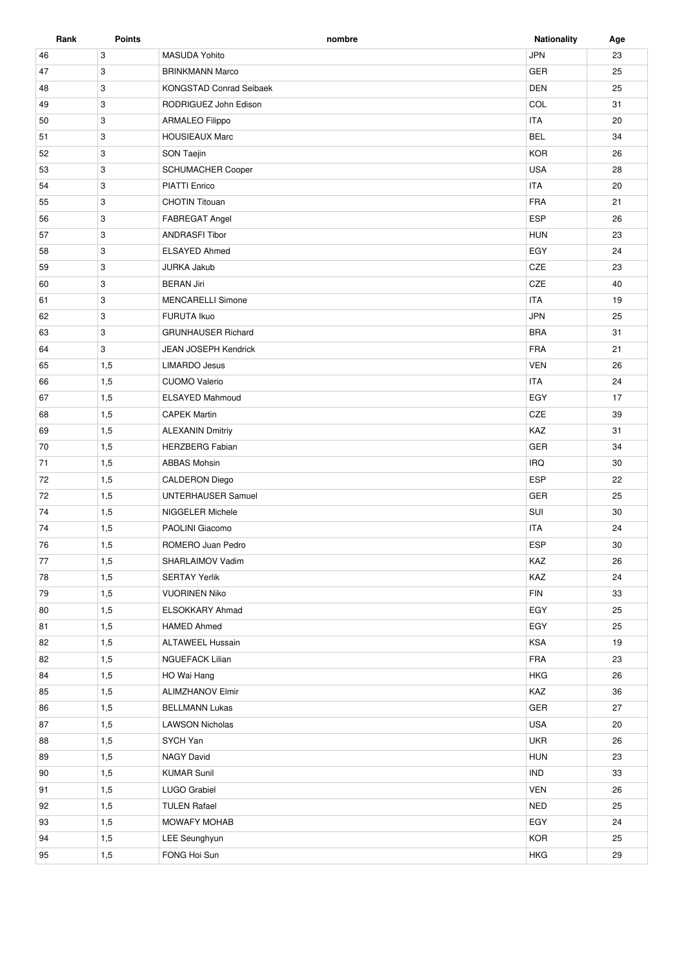| Rank | <b>Points</b> | nombre                         | <b>Nationality</b> | Age |
|------|---------------|--------------------------------|--------------------|-----|
| 46   | 3             | <b>MASUDA Yohito</b>           | <b>JPN</b>         | 23  |
| 47   | 3             | <b>BRINKMANN Marco</b>         | GER                | 25  |
| 48   | 3             | <b>KONGSTAD Conrad Seibaek</b> | <b>DEN</b>         | 25  |
| 49   | 3             | RODRIGUEZ John Edison          | COL                | 31  |
| 50   | 3             | <b>ARMALEO Filippo</b>         | <b>ITA</b>         | 20  |
| 51   | 3             | <b>HOUSIEAUX Marc</b>          | <b>BEL</b>         | 34  |
| 52   | 3             | <b>SON Taejin</b>              | <b>KOR</b>         | 26  |
| 53   | 3             | SCHUMACHER Cooper              | <b>USA</b>         | 28  |
| 54   | 3             | <b>PIATTI Enrico</b>           | <b>ITA</b>         | 20  |
| 55   | 3             | <b>CHOTIN Titouan</b>          | <b>FRA</b>         | 21  |
| 56   | 3             | FABREGAT Angel                 | <b>ESP</b>         | 26  |
| 57   | 3             | <b>ANDRASFI Tibor</b>          | <b>HUN</b>         | 23  |
| 58   | 3             | <b>ELSAYED Ahmed</b>           | EGY                | 24  |
| 59   | 3             | <b>JURKA Jakub</b>             | CZE                | 23  |
| 60   | 3             | <b>BERAN Jiri</b>              | CZE                | 40  |
| 61   | 3             | <b>MENCARELLI Simone</b>       | <b>ITA</b>         | 19  |
| 62   | 3             | <b>FURUTA Ikuo</b>             | <b>JPN</b>         | 25  |
| 63   | 3             | <b>GRUNHAUSER Richard</b>      | <b>BRA</b>         | 31  |
| 64   | 3             | JEAN JOSEPH Kendrick           | <b>FRA</b>         | 21  |
| 65   | 1,5           | <b>LIMARDO Jesus</b>           | <b>VEN</b>         | 26  |
| 66   | 1,5           | <b>CUOMO Valerio</b>           | <b>ITA</b>         | 24  |
| 67   | 1,5           | <b>ELSAYED Mahmoud</b>         | EGY                | 17  |
| 68   | 1,5           | <b>CAPEK Martin</b>            | CZE                | 39  |
| 69   | 1,5           | <b>ALEXANIN Dmitriy</b>        | KAZ                | 31  |
| 70   | 1,5           | <b>HERZBERG Fabian</b>         | <b>GER</b>         | 34  |
| 71   | 1,5           | <b>ABBAS Mohsin</b>            | <b>IRQ</b>         | 30  |
| 72   | 1,5           | CALDERON Diego                 | <b>ESP</b>         | 22  |
| 72   | 1,5           | <b>UNTERHAUSER Samuel</b>      | GER                | 25  |
| 74   | 1,5           | NIGGELER Michele               | SUI                | 30  |
| 74   | 1,5           | PAOLINI Giacomo                | <b>ITA</b>         | 24  |
| 76   | 1,5           | ROMERO Juan Pedro              | <b>ESP</b>         | 30  |
| 77   | 1,5           | SHARLAIMOV Vadim               | KAZ                | 26  |
| 78   | 1,5           | <b>SERTAY Yerlik</b>           | KAZ                | 24  |
| 79   | 1,5           | <b>VUORINEN Niko</b>           | ${\sf FIN}$        | 33  |
| 80   | 1,5           | ELSOKKARY Ahmad                | EGY                | 25  |
| 81   | 1,5           | <b>HAMED Ahmed</b>             | EGY                | 25  |
| 82   | 1,5           | <b>ALTAWEEL Hussain</b>        | <b>KSA</b>         | 19  |
| 82   | 1,5           | <b>NGUEFACK Lilian</b>         | FRA                | 23  |
| 84   | 1,5           | HO Wai Hang                    | <b>HKG</b>         | 26  |
| 85   | 1,5           | <b>ALIMZHANOV Elmir</b>        | KAZ                | 36  |
| 86   | 1,5           | <b>BELLMANN Lukas</b>          | GER                | 27  |
| 87   | 1,5           | <b>LAWSON Nicholas</b>         | <b>USA</b>         | 20  |
| 88   | 1,5           | SYCH Yan                       | <b>UKR</b>         | 26  |
| 89   | 1,5           | <b>NAGY David</b>              | <b>HUN</b>         | 23  |
| 90   | 1,5           | <b>KUMAR Sunil</b>             | <b>IND</b>         | 33  |
| 91   | 1,5           | LUGO Grabiel                   | <b>VEN</b>         | 26  |
| 92   | 1,5           | <b>TULEN Rafael</b>            | <b>NED</b>         | 25  |
| 93   | 1,5           | MOWAFY MOHAB                   | EGY                | 24  |
| 94   | 1,5           | LEE Seunghyun                  | <b>KOR</b>         | 25  |
| 95   | 1,5           | FONG Hoi Sun                   | <b>HKG</b>         | 29  |
|      |               |                                |                    |     |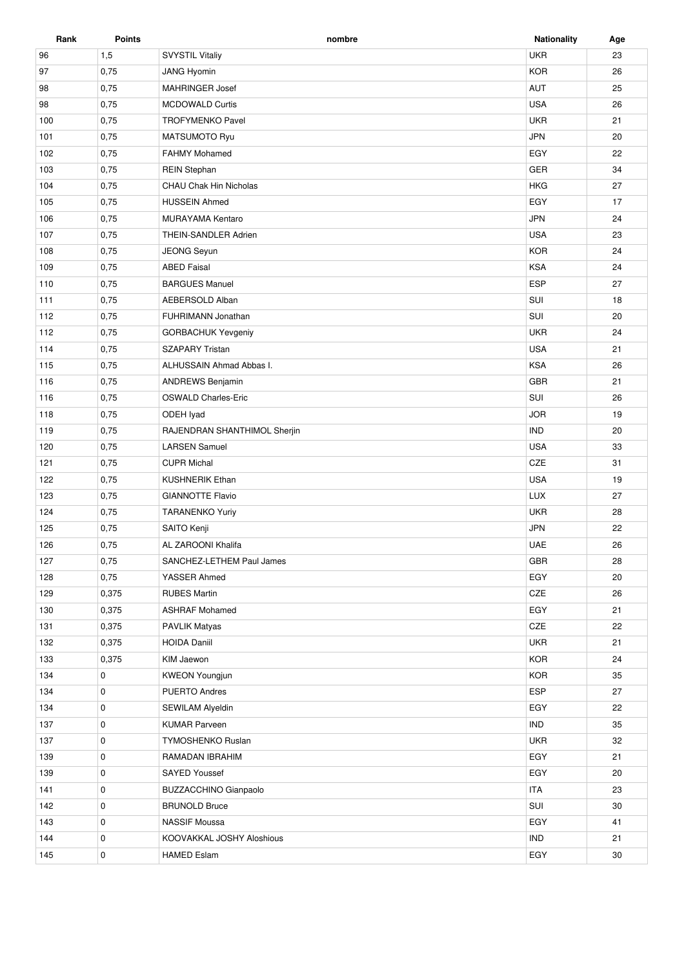| Rank | <b>Points</b> | nombre                        | <b>Nationality</b> | Age |
|------|---------------|-------------------------------|--------------------|-----|
| 96   | 1,5           | <b>SVYSTIL Vitaliy</b>        | <b>UKR</b>         | 23  |
| 97   | 0,75          | <b>JANG Hyomin</b>            | <b>KOR</b>         | 26  |
| 98   | 0,75          | MAHRINGER Josef               | AUT                | 25  |
| 98   | 0,75          | <b>MCDOWALD Curtis</b>        | <b>USA</b>         | 26  |
| 100  | 0,75          | <b>TROFYMENKO Pavel</b>       | <b>UKR</b>         | 21  |
| 101  | 0,75          | MATSUMOTO Ryu                 | <b>JPN</b>         | 20  |
| 102  | 0,75          | <b>FAHMY Mohamed</b>          | EGY                | 22  |
| 103  | 0,75          | <b>REIN Stephan</b>           | GER                | 34  |
| 104  | 0,75          | <b>CHAU Chak Hin Nicholas</b> | <b>HKG</b>         | 27  |
| 105  | 0,75          | <b>HUSSEIN Ahmed</b>          | EGY                | 17  |
| 106  | 0,75          | MURAYAMA Kentaro              | <b>JPN</b>         | 24  |
| 107  | 0,75          | THEIN-SANDLER Adrien          | <b>USA</b>         | 23  |
| 108  | 0,75          | JEONG Seyun                   | <b>KOR</b>         | 24  |
| 109  | 0,75          | <b>ABED Faisal</b>            | <b>KSA</b>         | 24  |
| 110  | 0,75          | <b>BARGUES Manuel</b>         | ESP                | 27  |
| 111  |               | AEBERSOLD Alban               | SUI                | 18  |
|      | 0,75          |                               |                    |     |
| 112  | 0,75          | FUHRIMANN Jonathan            | SUI                | 20  |
| 112  | 0,75          | <b>GORBACHUK Yevgeniy</b>     | <b>UKR</b>         | 24  |
| 114  | 0,75          | <b>SZAPARY Tristan</b>        | <b>USA</b>         | 21  |
| 115  | 0,75          | ALHUSSAIN Ahmad Abbas I.      | <b>KSA</b>         | 26  |
| 116  | 0,75          | <b>ANDREWS Benjamin</b>       | <b>GBR</b>         | 21  |
| 116  | 0,75          | <b>OSWALD Charles-Eric</b>    | SUI                | 26  |
| 118  | 0,75          | ODEH Iyad                     | <b>JOR</b>         | 19  |
| 119  | 0,75          | RAJENDRAN SHANTHIMOL Sherjin  | <b>IND</b>         | 20  |
| 120  | 0,75          | <b>LARSEN Samuel</b>          | <b>USA</b>         | 33  |
| 121  | 0,75          | <b>CUPR Michal</b>            | CZE                | 31  |
| 122  | 0,75          | <b>KUSHNERIK Ethan</b>        | <b>USA</b>         | 19  |
| 123  | 0,75          | <b>GIANNOTTE Flavio</b>       | LUX                | 27  |
| 124  | 0,75          | <b>TARANENKO Yuriy</b>        | <b>UKR</b>         | 28  |
| 125  | 0,75          | SAITO Kenji                   | <b>JPN</b>         | 22  |
| 126  | 0,75          | AL ZAROONI Khalifa            | <b>UAE</b>         | 26  |
| 127  | 0,75          | SANCHEZ-LETHEM Paul James     | GBR                | 28  |
| 128  | 0,75          | YASSER Ahmed                  | EGY                | 20  |
| 129  | 0,375         | <b>RUBES Martin</b>           | CZE                | 26  |
| 130  | 0,375         | <b>ASHRAF Mohamed</b>         | EGY                | 21  |
| 131  | 0,375         | <b>PAVLIK Matyas</b>          | CZE                | 22  |
| 132  | 0,375         | <b>HOIDA Daniil</b>           | <b>UKR</b>         | 21  |
| 133  | 0,375         | KIM Jaewon                    | <b>KOR</b>         | 24  |
| 134  | 0             | <b>KWEON Youngjun</b>         | <b>KOR</b>         | 35  |
| 134  | 0             | <b>PUERTO Andres</b>          | ESP                | 27  |
| 134  | 0             | SEWILAM Alyeldin              | EGY                | 22  |
| 137  | 0             | <b>KUMAR Parveen</b>          | <b>IND</b>         | 35  |
| 137  | 0             | <b>TYMOSHENKO Ruslan</b>      | <b>UKR</b>         | 32  |
| 139  | 0             | RAMADAN IBRAHIM               | EGY                | 21  |
| 139  | 0             | SAYED Youssef                 | EGY                | 20  |
| 141  | 0             | <b>BUZZACCHINO Gianpaolo</b>  | <b>ITA</b>         | 23  |
| 142  | 0             | <b>BRUNOLD Bruce</b>          | SUI                | 30  |
| 143  | 0             | <b>NASSIF Moussa</b>          | EGY                | 41  |
|      | 0             | KOOVAKKAL JOSHY Aloshious     | <b>IND</b>         |     |
| 144  |               |                               |                    | 21  |
| 145  | 0             | <b>HAMED Eslam</b>            | EGY                | 30  |